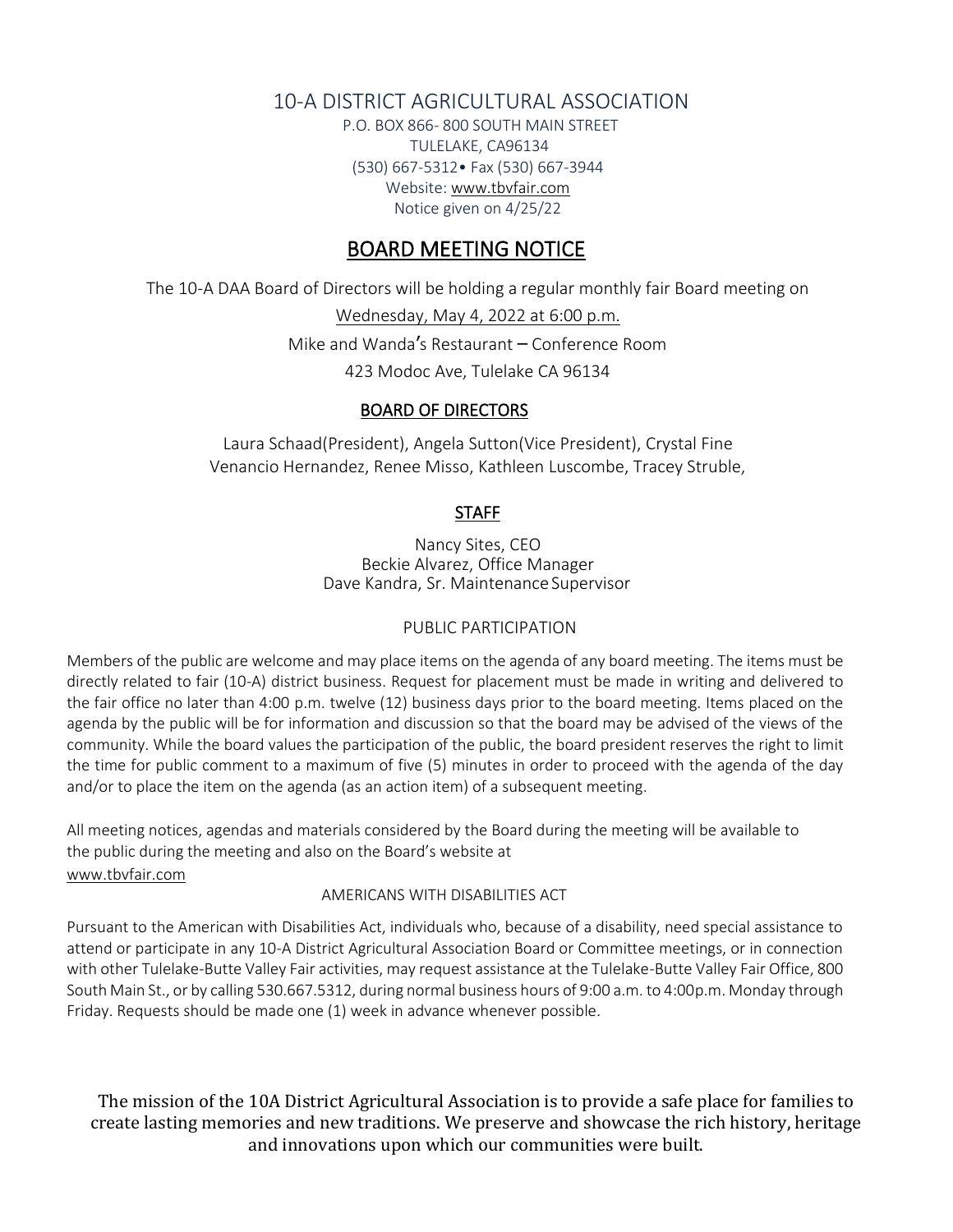## 10-A DISTRICT AGRICULTURAL ASSOCIATION

P.O. BOX 866- 800 SOUTH MAIN STREET TULELAKE, CA96134 (530) 667-5312• Fax (530) 667-3944 Websit[e: www.tbvfair.com](http://www.modocfair.com/) Notice given on 4/25/22

## BOARD MEETING NOTICE

The 10-A DAA Board of Directors will be holding a regular monthly fair Board meeting on

Wednesday, May 4, 2022 at 6:00 p.m. Mike and Wanda's Restaurant – Conference Room

423 Modoc Ave, Tulelake CA 96134

### BOARD OF DIRECTORS

Laura Schaad(President), Angela Sutton(Vice President), Crystal Fine Venancio Hernandez, Renee Misso, Kathleen Luscombe, Tracey Struble,

### **STAFF**

Nancy Sites, CEO Beckie Alvarez, Office Manager Dave Kandra, Sr. Maintenance Supervisor

### PUBLIC PARTICIPATION

Members of the public are welcome and may place items on the agenda of any board meeting. The items must be directly related to fair (10-A) district business. Request for placement must be made in writing and delivered to the fair office no later than 4:00 p.m. twelve (12) business days prior to the board meeting. Items placed on the agenda by the public will be for information and discussion so that the board may be advised of the views of the community. While the board values the participation of the public, the board president reserves the right to limit the time for public comment to a maximum of five (5) minutes in order to proceed with the agenda of the day and/or to place the item on the agenda (as an action item) of a subsequent meeting.

All meeting notices, agendas and materials considered by the Board during the meeting will be available to the public during the meeting and also on the Board's website at [www.tbvfair.com](http://www.tbvfair.com/)

#### AMERICANS WITH DISABILITIES ACT

Pursuant to the American with Disabilities Act, individuals who, because of a disability, need special assistance to attend or participate in any 10-A District Agricultural Association Board or Committee meetings, or in connection with other Tulelake-Butte Valley Fair activities, may request assistance at the Tulelake-Butte Valley Fair Office, 800 South Main St., or by calling 530.667.5312, during normal business hours of 9:00 a.m. to 4:00p.m. Monday through Friday. Requests should be made one (1) week in advance whenever possible.

The mission of the 10A District Agricultural Association is to provide a safe place for families to create lasting memories and new traditions. We preserve and showcase the rich history, heritage and innovations upon which our communities were built.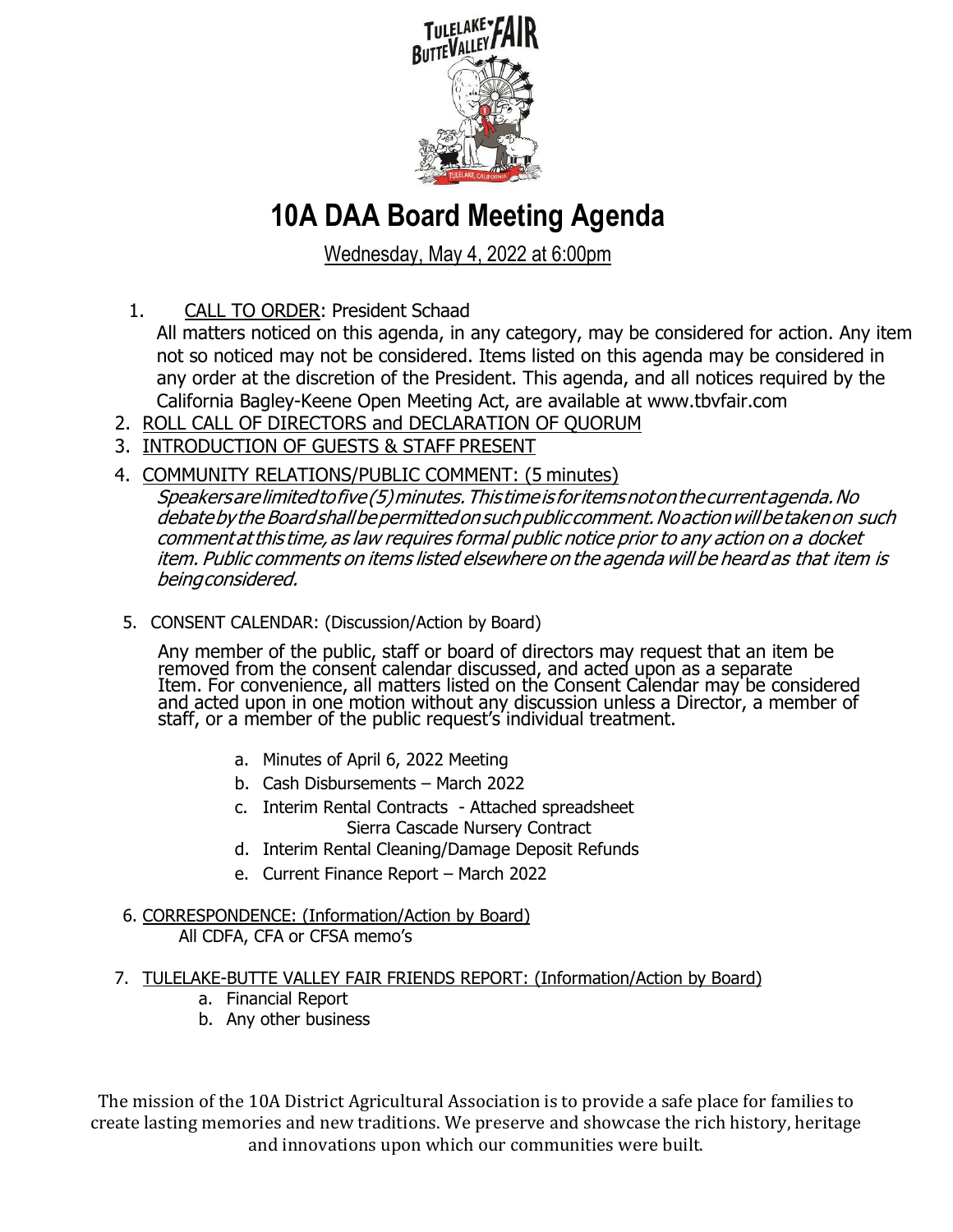

# **10A DAA Board Meeting Agenda**

Wednesday, May 4, 2022 at 6:00pm

- 1. CALL TO ORDER: President Schaad
	- All matters noticed on this agenda, in any category, may be considered for action. Any item not so noticed may not be considered. Items listed on this agenda may be considered in any order at the discretion of the President. This agenda, and all notices required by the California Bagley-Keene Open Meeting Act, are available at www.tbvfair.com
- 2. ROLL CALL OF DIRECTORS and DECLARATION OF QUORUM
- 3. INTRODUCTION OF GUESTS & STAFF PRESENT
- 4. COMMUNITY RELATIONS/PUBLIC COMMENT: (5 minutes)

Speakersarelimitedtofive(5)minutes.Thistimeis foritemsnotonthecurrentagenda.No debate by the Board shall be permitted on such public comment. No action will be taken on such comment at this time, as law requires formal public notice prior to any action on a docket item. Public comments on items listed elsewhere on the agenda will be heard as that item is beingconsidered.

5. CONSENT CALENDAR: (Discussion/Action by Board)

Any member of the public, staff or board of directors may request that an item be removed from the consent calendar discussed, and acted upon as a separate Item. For convenience, all matters listed on the Consent Calendar may be considered and acted upon in one motion without any discussion unless a Director, a member of staff, or a member of the public request's individual treatment.

- a. Minutes of April 6, 2022 Meeting
- b. Cash Disbursements March 2022
- c. Interim Rental Contracts Attached spreadsheet Sierra Cascade Nursery Contract
- d. Interim Rental Cleaning/Damage Deposit Refunds
- e. Current Finance Report March 2022
- 6. CORRESPONDENCE: (Information/Action by Board) All CDFA, CFA or CFSA memo's
- 7. TULELAKE-BUTTE VALLEY FAIR FRIENDS REPORT: (Information/Action by Board)
	- a. Financial Report
	- b. Any other business

The mission of the 10A District Agricultural Association is to provide a safe place for families to create lasting memories and new traditions. We preserve and showcase the rich history, heritage and innovations upon which our communities were built.